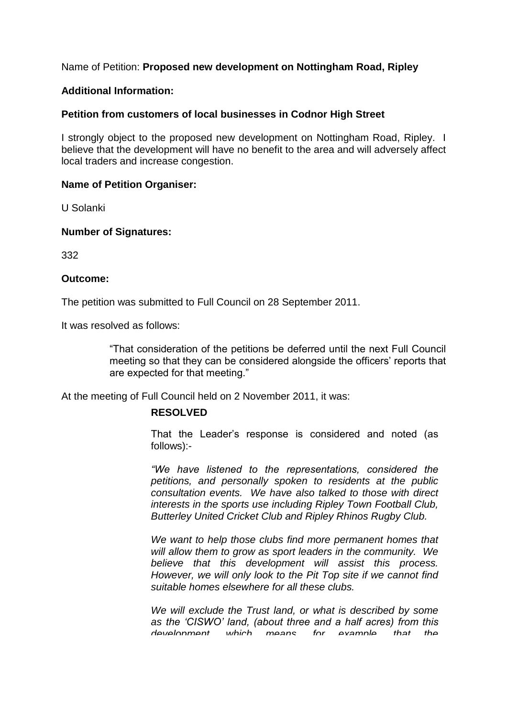# Name of Petition: **Proposed new development on Nottingham Road, Ripley**

### **Additional Information:**

# **Petition from customers of local businesses in Codnor High Street**

I strongly object to the proposed new development on Nottingham Road, Ripley. I believe that the development will have no benefit to the area and will adversely affect local traders and increase congestion.

#### **Name of Petition Organiser:**

U Solanki

#### **Number of Signatures:**

332

#### **Outcome:**

The petition was submitted to Full Council on 28 September 2011.

It was resolved as follows:

"That consideration of the petitions be deferred until the next Full Council meeting so that they can be considered alongside the officers' reports that are expected for that meeting."

At the meeting of Full Council held on 2 November 2011, it was:

# **RESOLVED**

That the Leader's response is considered and noted (as follows):-

*"We have listened to the representations,considered the petitions, and personally spoken to residents at the public consultation events. We have also talked to those with direct interests in the sports use including Ripley Town Football Club, Butterley United Cricket Club and Ripley Rhinos Rugby Club.*

*We want to help those clubs find more permanent homes that will allow them to grow as sport leaders in the community. We believe that this development will assist this process. However, we will only look to the Pit Top site if we cannot find suitable homes elsewhere for all these clubs.*

*We will exclude the Trust land, or what is described by some* as the 'CISWO' land, (about three and a half acres) from this *development, which means, for example, that the*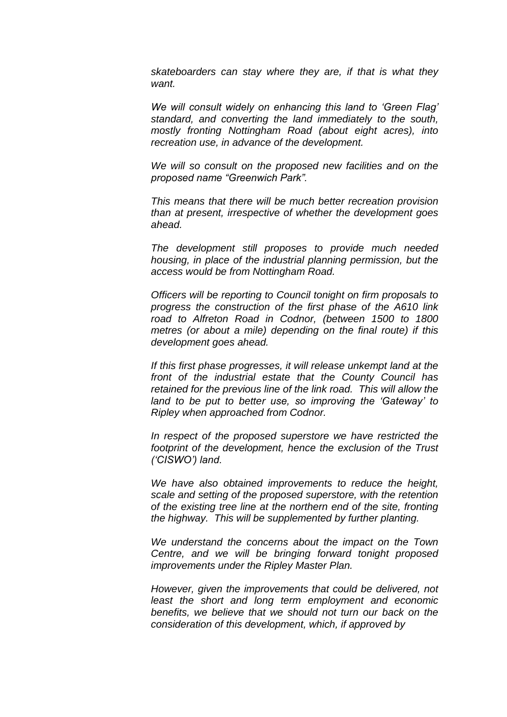*skateboarders can stay where they are, if that is what they want.*

We will consult widely on enhancing this land to 'Green Flag' *standard, and converting the land immediately to the south, mostly fronting Nottingham Road (about eight acres), into recreation use, in advance of the development.*

*We will so consult on the proposed new facilities and on the proposedname"GreenwichPark".*

*This means that there will be much better recreation provision than at present, irrespective of whether the development goes ahead.*

*The development still proposes to provide much needed housing, in place of the industrial planning permission, but the access would be from Nottingham Road.*

*Officers will be reporting to Council tonight on firm proposals to progress the construction of the first phase of the A610 link road to Alfreton Road in Codnor, (between 1500 to 1800 metres (or about a mile) depending on the final route) if this development goes ahead.*

*If this first phase progresses, it will release unkempt land at the front of the industrial estate that the County Council has retained for the previous line of the link road. This will allow the* land to be put to better use, so improving the 'Gateway' to *Ripley when approached from Codnor.*

*In respect of the proposed superstore we have restricted the footprint of the development, hence the exclusion of the Trust ('CISWO')land.*

*We have also obtained improvements to reduce the height, scale and setting of the proposed superstore, with the retention of the existing tree line at the northern end of the site, fronting the highway. This will be supplemented by further planting.*

*We understand the concerns about the impact on the Town Centre, and we will be bringing forward tonight proposed improvements under the Ripley Master Plan.*

*However, given the improvements that could be delivered, not least the short and long term employment and economic benefits, we believe that we should not turn our back on the consideration of this development, which, if approved by*